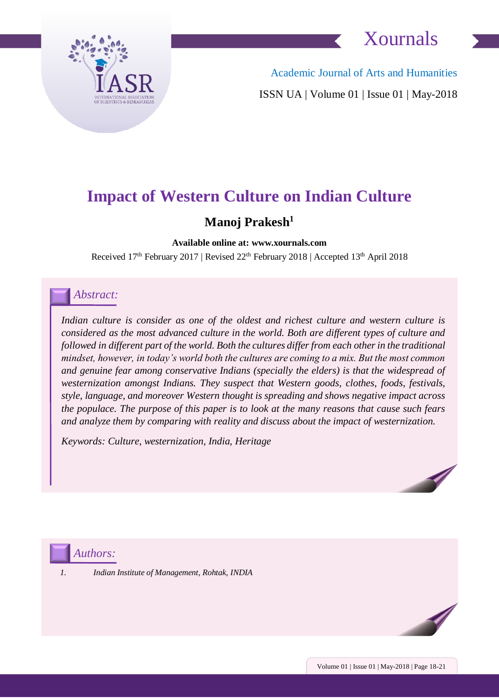



Academic Journal of Arts and Humanities ISSN UA | Volume 01 | Issue 01 | May-2018

### **Impact of Western Culture on Indian Culture**

### **Manoj Prakesh<sup>1</sup>**

**Available online at: www.xournals.com**

Received 17<sup>th</sup> February 2017 | Revised 22<sup>th</sup> February 2018 | Accepted 13<sup>th</sup> April 2018

### *Abstract:*

Indian culture is consider as one of the oldest and richest culture and western culture is *considered as the most advanced culture in the world. Both are different types of culture and followed in different part of the world. Both the cultures differ from each other in the traditional mindset, however, in today's world both the cultures are coming to a mix. But the most common and genuine fear among conservative Indians (specially the elders) is that the widespread of westernization amongst Indians. They suspect that Western goods, clothes, foods, festivals, style, language, and moreover Western thought is spreading and shows negative impact across the populace. The purpose of this paper is to look at the many reasons that cause such fears and analyze them by comparing with reality and discuss about the impact of westernization.* 

*Keywords: Culture, westernization, India, Heritage*



*Authors:*

*1. Indian Institute of Management, Rohtak, INDIA*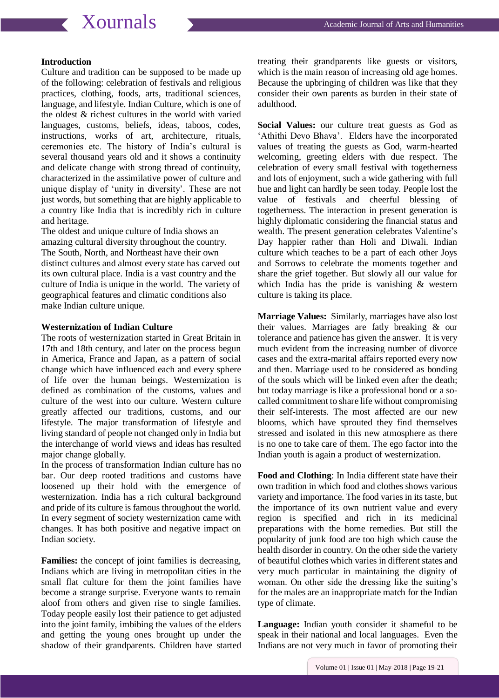## **Xournals** Academic Journal of Arts and Humanities

#### **Introduction**

Culture and tradition can be supposed to be made up of the following: celebration of festivals and religious practices, clothing, foods, arts, traditional sciences, language, and lifestyle. Indian Culture, which is one of the oldest & richest cultures in the world with varied languages, customs, beliefs, ideas, taboos, codes, instructions, works of art, architecture, rituals, ceremonies etc. The history of India's cultural is several thousand years old and it shows a continuity and delicate change with strong thread of continuity, characterized in the assimilative power of culture and unique display of 'unity in diversity'. These are not just words, but something that are highly applicable to a country like India that is incredibly rich in culture and heritage.

The oldest and unique culture of India shows an amazing cultural diversity throughout the country. The South, North, and Northeast have their own distinct cultures and almost every state has carved out its own cultural place. India is a vast country and the culture of India is unique in the world. The variety of geographical features and climatic conditions also make Indian culture unique.

#### **Westernization of Indian Culture**

The roots of westernization started in Great Britain in 17th and 18th century, and later on the process begun in America, France and Japan, as a pattern of social change which have influenced each and every sphere of life over the human beings. Westernization is defined as combination of the customs, values and culture of the west into our culture. Western culture greatly affected our traditions, customs, and our lifestyle. The major transformation of lifestyle and living standard of people not changed only in India but the interchange of world views and ideas has resulted major change globally.

In the process of transformation Indian culture has no bar. Our deep rooted traditions and customs have loosened up their hold with the emergence of westernization. India has a rich cultural background and pride of its culture is famous throughout the world. In every segment of society westernization came with changes. It has both positive and negative impact on Indian society.

**Families:** the concept of joint families is decreasing, Indians which are living in metropolitan cities in the small flat culture for them the joint families have become a strange surprise. Everyone wants to remain aloof from others and given rise to single families. Today people easily lost their patience to get adjusted into the joint family, imbibing the values of the elders and getting the young ones brought up under the shadow of their grandparents. Children have started treating their grandparents like guests or visitors, which is the main reason of increasing old age homes. Because the upbringing of children was like that they consider their own parents as burden in their state of adulthood.

**Social Values:** our culture treat guests as God as 'Athithi Devo Bhava'. Elders have the incorporated values of treating the guests as God, warm-hearted welcoming, greeting elders with due respect. The celebration of every small festival with togetherness and lots of enjoyment, such a wide gathering with full hue and light can hardly be seen today. People lost the value of festivals and cheerful blessing of togetherness. The interaction in present generation is highly diplomatic considering the financial status and wealth. The present generation celebrates Valentine's Day happier rather than Holi and Diwali. Indian culture which teaches to be a part of each other Joys and Sorrows to celebrate the moments together and share the grief together. But slowly all our value for which India has the pride is vanishing & western culture is taking its place.

**Marriage Values:** Similarly, marriages have also lost their values. Marriages are fatly breaking & our tolerance and patience has given the answer. It is very much evident from the increasing number of divorce cases and the extra-marital affairs reported every now and then. Marriage used to be considered as bonding of the souls which will be linked even after the death; but today marriage is like a professional bond or a socalled commitment to share life without compromising their self-interests. The most affected are our new blooms, which have sprouted they find themselves stressed and isolated in this new atmosphere as there is no one to take care of them. The ego factor into the Indian youth is again a product of westernization.

**Food and Clothing**: In India different state have their own tradition in which food and clothes shows various variety and importance. The food varies in its taste, but the importance of its own nutrient value and every region is specified and rich in its medicinal preparations with the home remedies. But still the popularity of junk food are too high which cause the health disorder in country. On the other side the variety of beautiful clothes which varies in different states and very much particular in maintaining the dignity of woman. On other side the dressing like the suiting's for the males are an inappropriate match for the Indian type of climate.

**Language:** Indian youth consider it shameful to be speak in their national and local languages. Even the Indians are not very much in favor of promoting their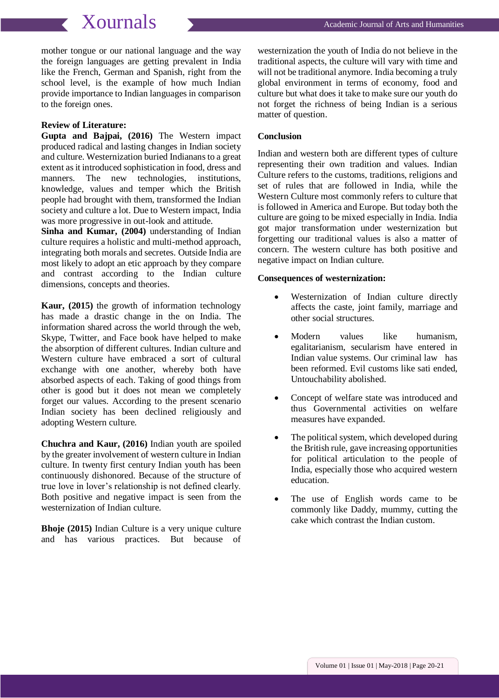## **Xournals** Academic Journal of Arts and Humanities

mother tongue or our national language and the way the foreign languages are getting prevalent in India like the French, German and Spanish, right from the school level, is the example of how much Indian provide importance to Indian languages in comparison to the foreign ones.

#### **Review of Literature:**

**Gupta and Bajpai, (2016)** The Western impact produced radical and lasting changes in Indian society and culture. Westernization buried Indianans to a great extent as it introduced sophistication in food, dress and manners. The new technologies, institutions, knowledge, values and temper which the British people had brought with them, transformed the Indian society and culture a lot. Due to Western impact, India was more progressive in out-look and attitude.

**Sinha and Kumar, (2004)** understanding of Indian culture requires a holistic and multi-method approach, integrating both morals and secretes. Outside India are most likely to adopt an etic approach by they compare and contrast according to the Indian culture dimensions, concepts and theories.

**Kaur, (2015)** the growth of information technology has made a drastic change in the on India. The information shared across the world through the web, Skype, Twitter, and Face book have helped to make the absorption of different cultures. Indian culture and Western culture have embraced a sort of cultural exchange with one another, whereby both have absorbed aspects of each. Taking of good things from other is good but it does not mean we completely forget our values. According to the present scenario Indian society has been declined religiously and adopting Western culture.

**Chuchra and Kaur, (2016)** Indian youth are spoiled by the greater involvement of western culture in Indian culture. In twenty first century Indian youth has been continuously dishonored. Because of the structure of true love in lover's relationship is not defined clearly. Both positive and negative impact is seen from the westernization of Indian culture.

**Bhoje (2015)** Indian Culture is a very unique culture and has various practices. But because of westernization the youth of India do not believe in the traditional aspects, the culture will vary with time and will not be traditional anymore. India becoming a truly global environment in terms of economy, food and culture but what does it take to make sure our youth do not forget the richness of being Indian is a serious matter of question.

### **Conclusion**

Indian and western both are different types of culture representing their own tradition and values. Indian Culture refers to the customs, traditions, religions and set of rules that are followed in India, while the Western Culture most commonly refers to culture that is followed in America and Europe. But today both the culture are going to be mixed especially in India. India got major transformation under westernization but forgetting our traditional values is also a matter of concern. The western culture has both positive and negative impact on Indian culture.

#### **Consequences of westernization:**

- Westernization of Indian culture directly affects the caste, joint family, marriage and other social structures.
- Modern values like humanism, egalitarianism, secularism have entered in Indian value systems. Our criminal law has been reformed. Evil customs like sati ended, Untouchability abolished.
- Concept of welfare state was introduced and thus Governmental activities on welfare measures have expanded.
- The political system, which developed during the British rule, gave increasing opportunities for political articulation to the people of India, especially those who acquired western education.
- The use of English words came to be commonly like Daddy, mummy, cutting the cake which contrast the Indian custom.